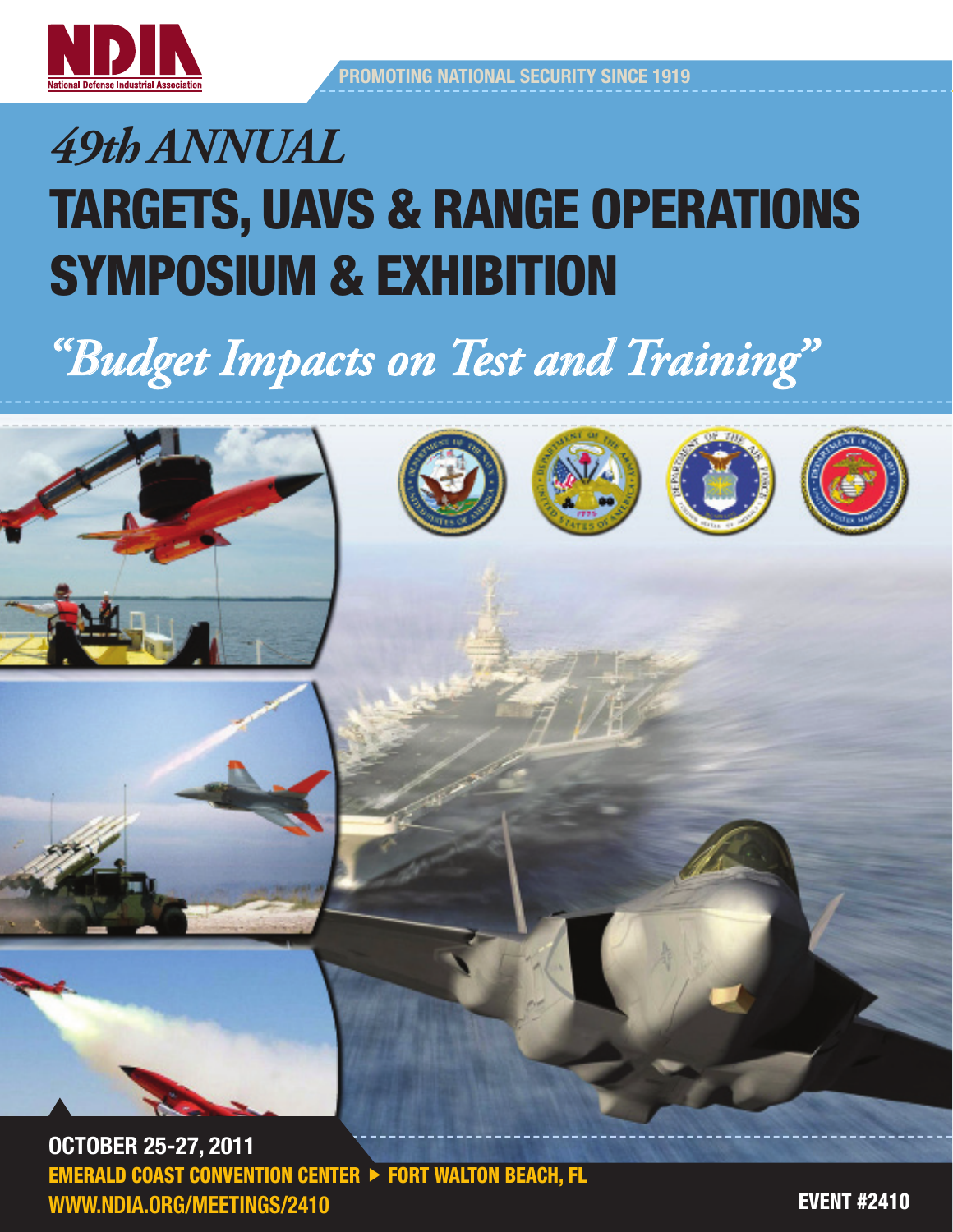

# *"Budget Impacts on Test and Training"*











OCTOBER 25-27, 2011 **EMERALD COAST CONVENTION CENTER**  $\triangleright$  **FORT WALTON BEACH, FL** www.ndia.org/meetings/2410

**EVENT #2410**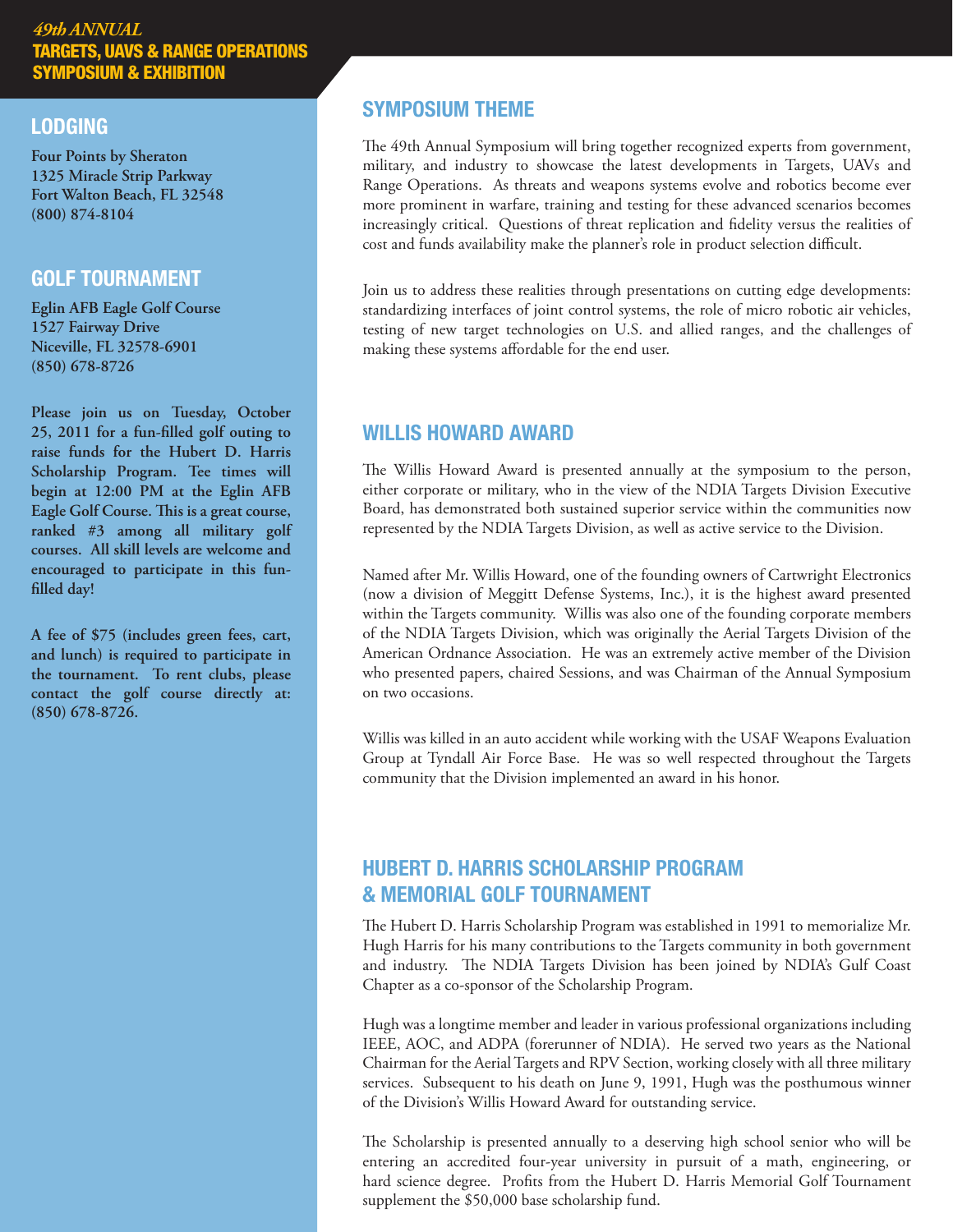#### **LODGING**

**Four Points by Sheraton 1325 Miracle Strip Parkway Fort Walton Beach, FL 32548 (800) 874-8104**

#### golf tournament

**Eglin AFB Eagle Golf Course 1527 Fairway Drive Niceville, FL 32578-6901 (850) 678-8726** 

**Please join us on Tuesday, October 25, 2011 for a fun-filled golf outing to raise funds for the Hubert D. Harris Scholarship Program. Tee times will begin at 12:00 PM at the Eglin AFB Eagle Golf Course. This is a great course, ranked #3 among all military golf courses. All skill levels are welcome and encouraged to participate in this funfilled day!**

**A fee of \$75 (includes green fees, cart, and lunch) is required to participate in the tournament. To rent clubs, please contact the golf course directly at: (850) 678-8726.**

# symposium theme

The 49th Annual Symposium will bring together recognized experts from government, military, and industry to showcase the latest developments in Targets, UAVs and Range Operations. As threats and weapons systems evolve and robotics become ever more prominent in warfare, training and testing for these advanced scenarios becomes increasingly critical. Questions of threat replication and fidelity versus the realities of cost and funds availability make the planner's role in product selection difficult.

Join us to address these realities through presentations on cutting edge developments: standardizing interfaces of joint control systems, the role of micro robotic air vehicles, testing of new target technologies on U.S. and allied ranges, and the challenges of making these systems affordable for the end user.

# willis howard award

The Willis Howard Award is presented annually at the symposium to the person, either corporate or military, who in the view of the NDIA Targets Division Executive Board, has demonstrated both sustained superior service within the communities now represented by the NDIA Targets Division, as well as active service to the Division.

Named after Mr. Willis Howard, one of the founding owners of Cartwright Electronics (now a division of Meggitt Defense Systems, Inc.), it is the highest award presented within the Targets community. Willis was also one of the founding corporate members of the NDIA Targets Division, which was originally the Aerial Targets Division of the American Ordnance Association. He was an extremely active member of the Division who presented papers, chaired Sessions, and was Chairman of the Annual Symposium on two occasions.

Willis was killed in an auto accident while working with the USAF Weapons Evaluation Group at Tyndall Air Force Base. He was so well respected throughout the Targets community that the Division implemented an award in his honor.

# hubert D. harris scholarship program & memorial golf tournament

The Hubert D. Harris Scholarship Program was established in 1991 to memorialize Mr. Hugh Harris for his many contributions to the Targets community in both government and industry. The NDIA Targets Division has been joined by NDIA's Gulf Coast Chapter as a co-sponsor of the Scholarship Program.

Hugh was a longtime member and leader in various professional organizations including IEEE, AOC, and ADPA (forerunner of NDIA). He served two years as the National Chairman for the Aerial Targets and RPV Section, working closely with all three military services. Subsequent to his death on June 9, 1991, Hugh was the posthumous winner of the Division's Willis Howard Award for outstanding service.

The Scholarship is presented annually to a deserving high school senior who will be entering an accredited four-year university in pursuit of a math, engineering, or hard science degree. Profits from the Hubert D. Harris Memorial Golf Tournament supplement the \$50,000 base scholarship fund.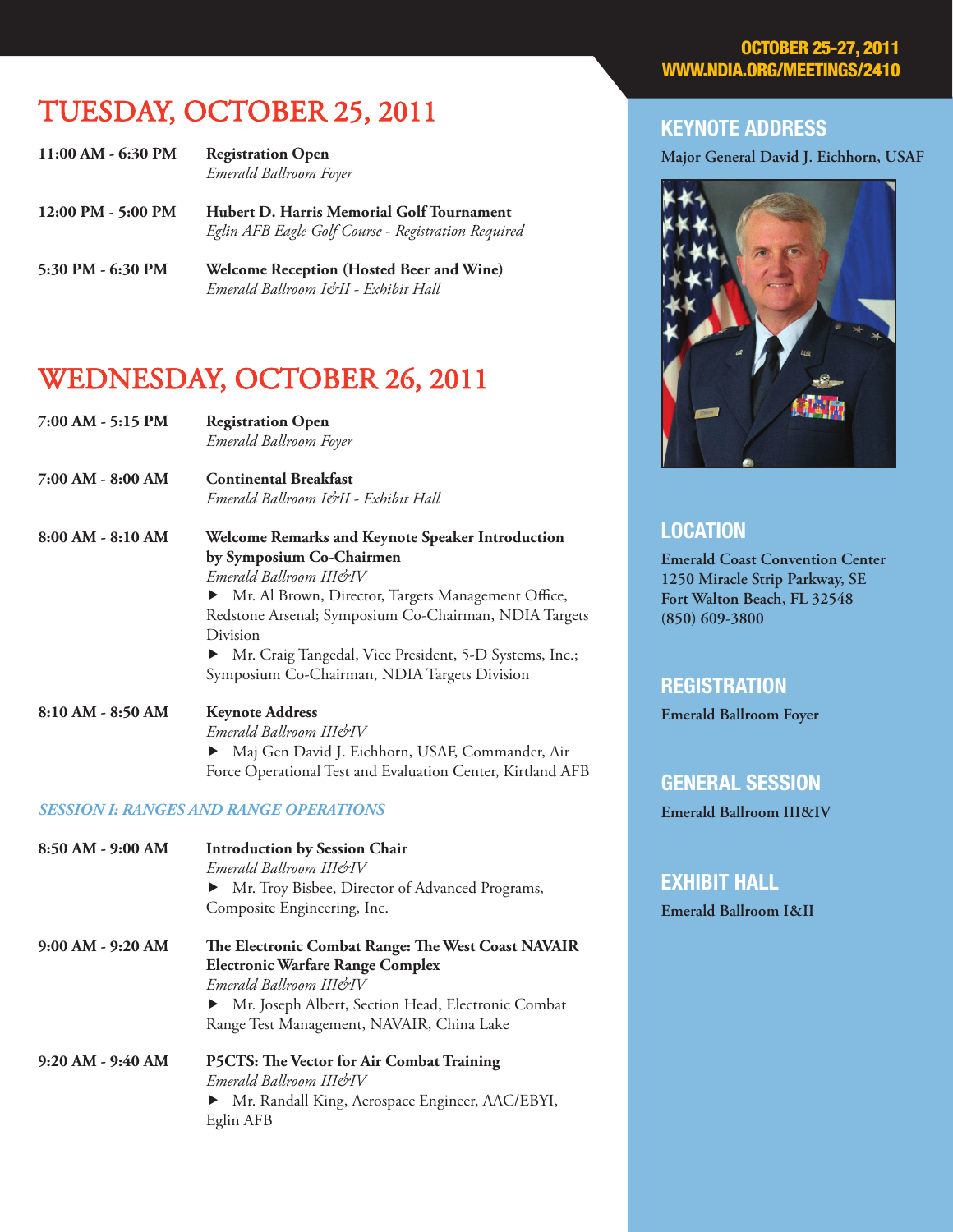# tuesday, october 25, 2011

| 11:00 AM - 6:30 PM                   | <b>Registration Open</b><br>Emerald Ballroom Foyer                                               |
|--------------------------------------|--------------------------------------------------------------------------------------------------|
| $12:00 \text{ PM} - 5:00 \text{ PM}$ | Hubert D. Harris Memorial Golf Tournament<br>Eglin AFB Eagle Golf Course - Registration Required |

**5:30 PM - 6:30 PM Welcome Reception (Hosted Beer and Wine)**  *Emerald Ballroom I&II - Exhibit Hall*

# wednesday, october 26, 2011

**7:00 AM - 5:15 PM Registration Open** *Emerald Ballroom Foyer*

**7:00 AM - 8:00 AM Continental Breakfast** *Emerald Ballroom I&II - Exhibit Hall*

**8:00 AM - 8:10 AM Welcome Remarks and Keynote Speaker Introduction by Symposium Co-Chairmen** *Emerald Ballroom III&IV* Mr. Al Brown, Director, Targets Management Office, Redstone Arsenal; Symposium Co-Chairman, NDIA Targets Division Mr. Craig Tangedal, Vice President, 5-D Systems, Inc.;

Symposium Co-Chairman, NDIA Targets Division

#### **8:10 AM - 8:50 AM Keynote Address** *Emerald Ballroom III&IV* Maj Gen David J. Eichhorn, USAF, Commander, Air Force Operational Test and Evaluation Center, Kirtland AFB

#### *SESSION I: RANGES AND RANGE OPERATIONS*

| 8:50 AM - 9:00 AM     | <b>Introduction by Session Chair</b><br>Emerald Ballroom III&IV<br>• Mr. Troy Bisbee, Director of Advanced Programs,<br>Composite Engineering, Inc. |
|-----------------------|-----------------------------------------------------------------------------------------------------------------------------------------------------|
| $9:00$ AM - $9:20$ AM | The Electronic Combat Range: The West Coast NAVAIR                                                                                                  |
|                       | <b>Electronic Warfare Range Complex</b>                                                                                                             |
|                       | Emerald Ballroom III&IV                                                                                                                             |
|                       | • Mr. Joseph Albert, Section Head, Electronic Combat                                                                                                |
|                       | Range Test Management, NAVAIR, China Lake                                                                                                           |
| $9:20 AM - 9:40 AM$   | <b>P5CTS: The Vector for Air Combat Training</b>                                                                                                    |
|                       | Emerald Ballroom III&IV                                                                                                                             |
|                       | • Mr. Randall King, Aerospace Engineer, AAC/EBYI,                                                                                                   |
|                       | Eglin AFB                                                                                                                                           |

#### **OCTOBER 25** WWW.NDIA.ORG/MEETINGS/2410

#### keynote address

**Major General David J. Eichhorn, USAF**



#### **LOCATION**

**Emerald Coast Convention Center 1250 Miracle Strip Parkway, SE Fort Walton Beach, FL 32548 (850) 609-3800**

## **REGISTRATION**

**Emerald Ballroom Foyer**

#### general session

**Emerald Ballroom III&IV**

#### Exhibit hall

**Emerald Ballroom I&II**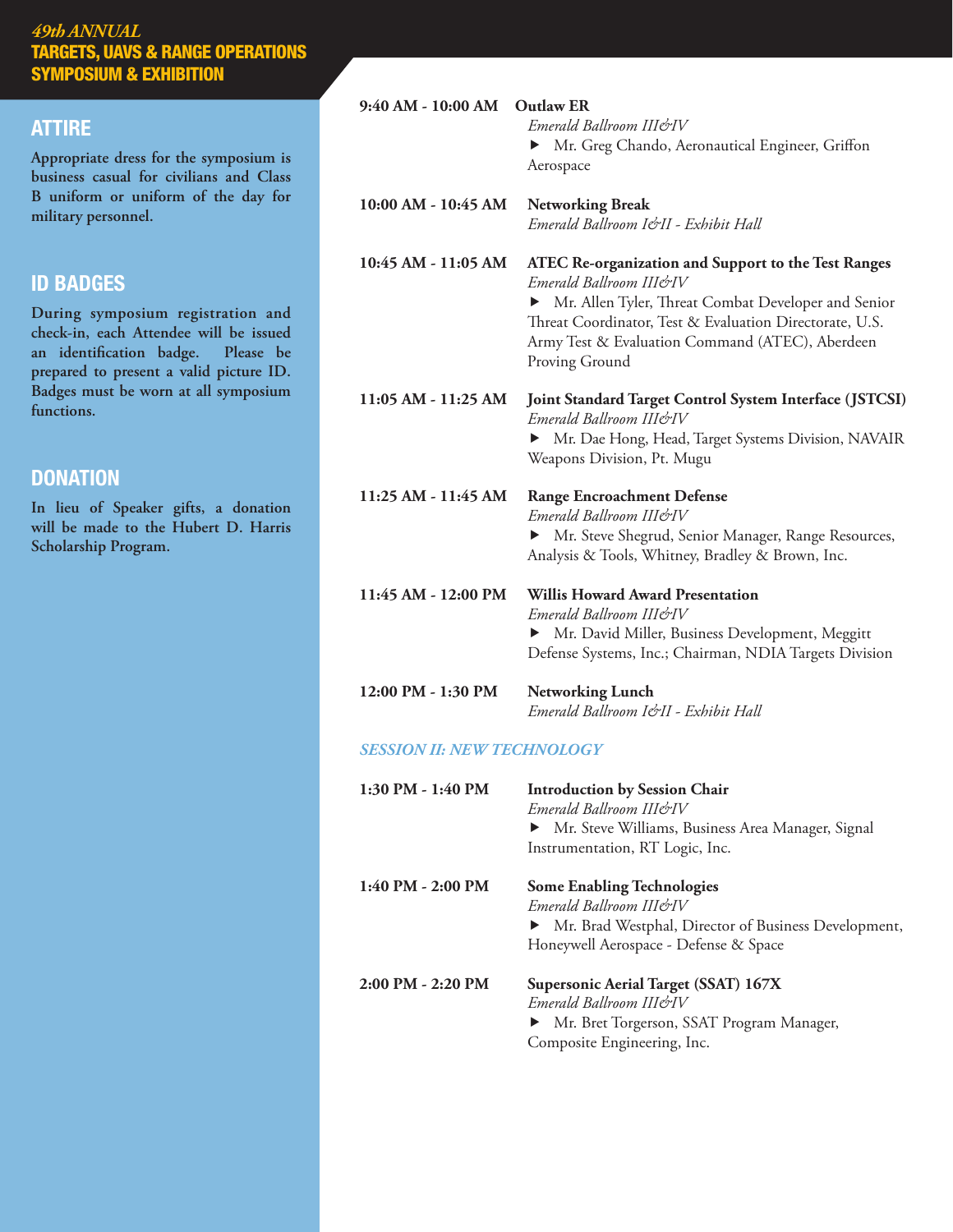#### **ATTIRE** attire

**Appropriate dress for the symposium is business casual for civilians and Class B uniform or uniform of the day for military personnel.** 

## id badges

**During symposium registration and check-in, each Attendee will be issued an identification badge. Please be prepared to present a valid picture ID. Badges must be worn at all symposium functions.** 

#### **DONATION**

**In lieu of Speaker gifts, a donation will be made to the Hubert D. Harris Scholarship Program.**

| 9:40 AM - 10:00 AM  | <b>Outlaw ER</b><br>Emerald Ballroom III&IV<br>Mr. Greg Chando, Aeronautical Engineer, Griffon<br>Aerospace                                                                                                                                                                         |
|---------------------|-------------------------------------------------------------------------------------------------------------------------------------------------------------------------------------------------------------------------------------------------------------------------------------|
| 10:00 AM - 10:45 AM | <b>Networking Break</b><br>Emerald Ballroom I&II - Exhibit Hall                                                                                                                                                                                                                     |
| 10:45 AM - 11:05 AM | <b>ATEC Re-organization and Support to the Test Ranges</b><br>Emerald Ballroom IIIe'rIV<br>Mr. Allen Tyler, Threat Combat Developer and Senior<br>▶<br>Threat Coordinator, Test & Evaluation Directorate, U.S.<br>Army Test & Evaluation Command (ATEC), Aberdeen<br>Proving Ground |
| 11:05 AM - 11:25 AM | Joint Standard Target Control System Interface (JSTCSI)<br>Emerald Ballroom III&IV<br>• Mr. Dae Hong, Head, Target Systems Division, NAVAIR<br>Weapons Division, Pt. Mugu                                                                                                           |
| 11:25 AM - 11:45 AM | <b>Range Encroachment Defense</b><br>Emerald Ballroom III&IV<br>Mr. Steve Shegrud, Senior Manager, Range Resources,<br>▶<br>Analysis & Tools, Whitney, Bradley & Brown, Inc.                                                                                                        |
| 11:45 AM - 12:00 PM | <b>Willis Howard Award Presentation</b><br>Emerald Ballroom III&IV<br>Mr. David Miller, Business Development, Meggitt<br>▶<br>Defense Systems, Inc.; Chairman, NDIA Targets Division                                                                                                |
| 12:00 PM - 1:30 PM  | <b>Networking Lunch</b><br>Emerald Ballroom I&II - Exhibit Hall                                                                                                                                                                                                                     |

#### *SESSION II: NEW TECHNOLOGY*

| 1:30 PM - 1:40 PM     | <b>Introduction by Session Chair</b><br>Emerald Ballroom IJI&IV<br>• Mr. Steve Williams, Business Area Manager, Signal<br>Instrumentation, RT Logic, Inc.       |
|-----------------------|-----------------------------------------------------------------------------------------------------------------------------------------------------------------|
| $1:40$ PM - 2:00 PM   | <b>Some Enabling Technologies</b><br>Emerald Ballroom III&IV<br>• Mr. Brad Westphal, Director of Business Development,<br>Honeywell Aerospace - Defense & Space |
| $2:00$ PM $- 2:20$ PM | Supersonic Aerial Target (SSAT) 167X<br>Emerald Ballroom IIIerIV<br>• Mr. Bret Torgerson, SSAT Program Manager,<br>Composite Engineering, Inc.                  |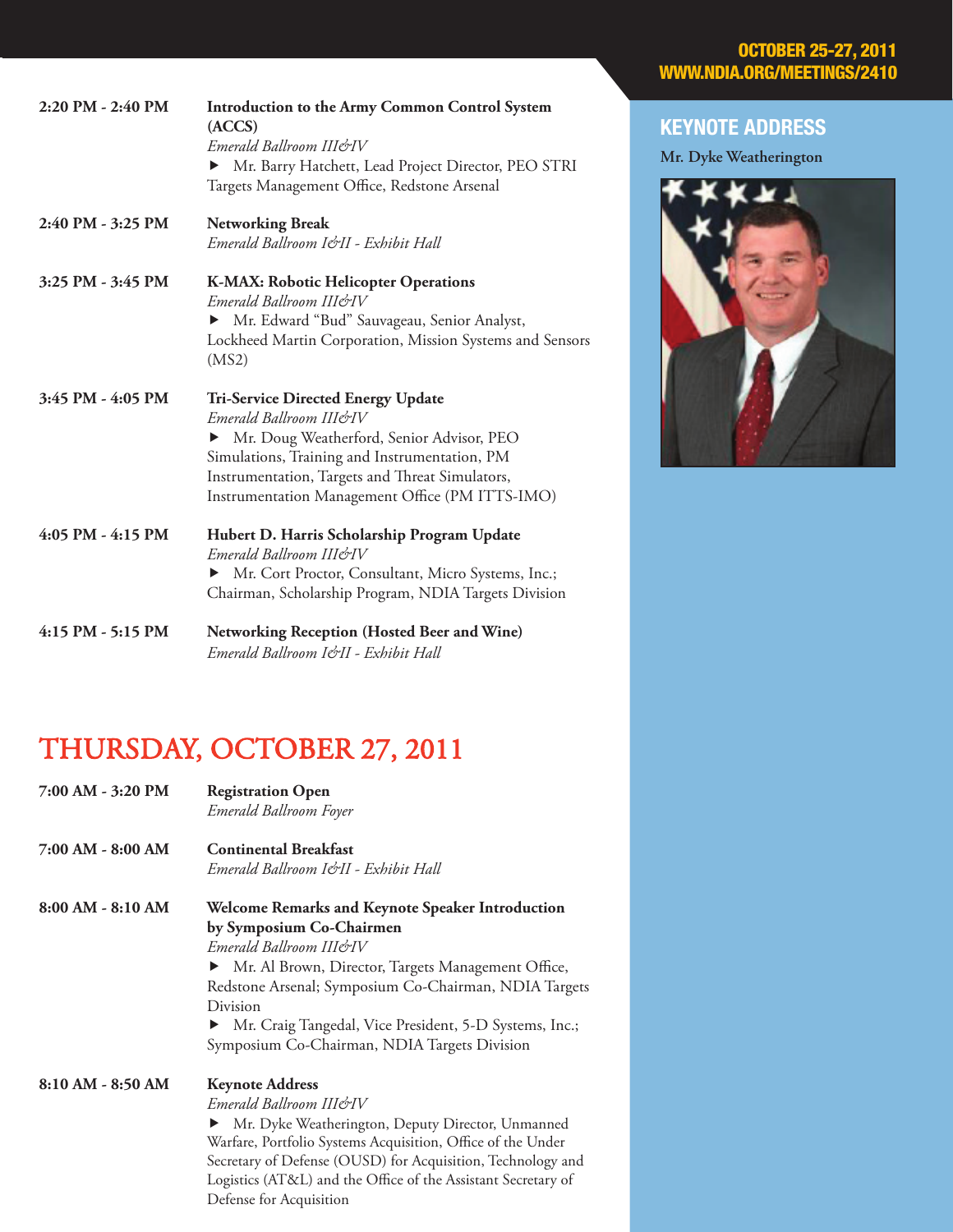| <b>OCTOBER 25-27, 2011</b> |  |
|----------------------------|--|
| WWW.NDIA.ORG/MEETINGS/2410 |  |

| 2:20 PM - 2:40 PM | <b>Introduction to the Army Common Control System</b><br>(ACCS)<br>Emerald Ballroom III&IV<br>Mr. Barry Hatchett, Lead Project Director, PEO STRI<br>Targets Management Office, Redstone Arsenal                                                                           |
|-------------------|----------------------------------------------------------------------------------------------------------------------------------------------------------------------------------------------------------------------------------------------------------------------------|
| 2:40 PM - 3:25 PM | <b>Networking Break</b><br>Emerald Ballroom I&II - Exhibit Hall                                                                                                                                                                                                            |
| 3:25 PM - 3:45 PM | K-MAX: Robotic Helicopter Operations<br>Emerald Ballroom III&IV<br>Mr. Edward "Bud" Sauvageau, Senior Analyst,<br>Lockheed Martin Corporation, Mission Systems and Sensors<br>(MS2)                                                                                        |
| 3:45 PM - 4:05 PM | <b>Tri-Service Directed Energy Update</b><br>Emerald Ballroom III&IV<br>• Mr. Doug Weatherford, Senior Advisor, PEO<br>Simulations, Training and Instrumentation, PM<br>Instrumentation, Targets and Threat Simulators,<br>Instrumentation Management Office (PM ITTS-IMO) |
| 4:05 PM - 4:15 PM | Hubert D. Harris Scholarship Program Update<br>Emerald Ballroom III&IV<br>Mr. Cort Proctor, Consultant, Micro Systems, Inc.;<br>Chairman, Scholarship Program, NDIA Targets Division                                                                                       |
| 4:15 PM - 5:15 PM | <b>Networking Reception (Hosted Beer and Wine)</b><br>Emerald Ballroom I&II - Exhibit Hall                                                                                                                                                                                 |

# THURSDAY, OCTOBER 27, 2011

| 7:00 AM - 3:20 PM   | <b>Registration Open</b><br>Emerald Ballroom Foyer                   |
|---------------------|----------------------------------------------------------------------|
| 7:00 AM - 8:00 AM   | <b>Continental Breakfast</b><br>Emerald Ballroom I&II - Exhibit Hall |
| $8:00 AM - 8:10 AM$ | Welcome Remarks and Keynote Speaker Introduction                     |
|                     | by Symposium Co-Chairmen                                             |
|                     | Emerald Ballroom III&IV                                              |
|                     | Mr. Al Brown, Director, Targets Management Office,<br>▶              |
|                     | Redstone Arsenal; Symposium Co-Chairman, NDIA Targets                |
|                     | Division                                                             |
|                     | Mr. Craig Tangedal, Vice President, 5-D Systems, Inc.;               |
|                     | Symposium Co-Chairman, NDIA Targets Division                         |
| 8:10 AM - 8:50 AM   | <b>Keynote Address</b>                                               |
|                     | Emerald Ballroom III&IV                                              |
|                     | Mr. Dyke Weatherington, Deputy Director, Unmanned                    |
|                     | Warfare, Portfolio Systems Acquisition, Office of the Under          |
|                     | Secretary of Defense (OUSD) for Acquisition, Technology and          |
|                     | Logistics (AT&L) and the Office of the Assistant Secretary of        |

Defense for Acquisition

# keynote address

**Mr. Dyke Weatherington**

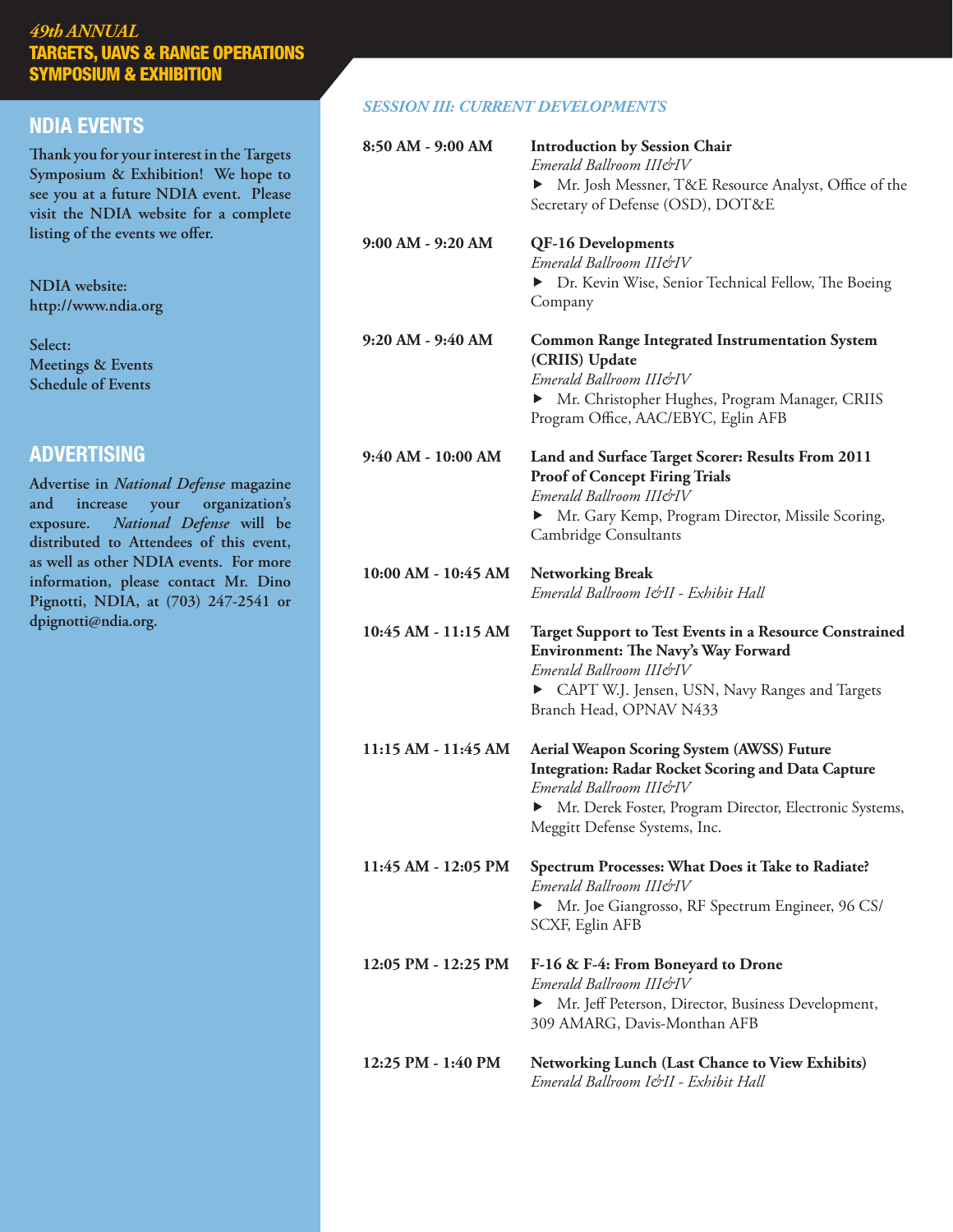# NDIA EVENTS

**Thank you for your interest in the Targets Symposium & Exhibition! We hope to see you at a future NDIA event. Please visit the NDIA website for a complete listing of the events we offer.**

**NDIA website: http://www.ndia.org**

**Select: Meetings & Events Schedule of Events**

# ADVERTISING

**Advertise in** *National Defense* **magazine and increase your organization's exposure.** *National Defense* **will be distributed to Attendees of this event, as well as other NDIA events. For more information, please contact Mr. Dino Pignotti, NDIA, at (703) 247-2541 or dpignotti@ndia.org.** 

#### *SESSION III: CURRENT DEVELOPMENTS*

| 8:50 AM - 9:00 AM   | <b>Introduction by Session Chair</b><br>Emerald Ballroom III&IV<br>Mr. Josh Messner, T&E Resource Analyst, Office of the<br>▶<br>Secretary of Defense (OSD), DOT&E                                                                    |
|---------------------|---------------------------------------------------------------------------------------------------------------------------------------------------------------------------------------------------------------------------------------|
| 9:00 AM - 9:20 AM   | <b>QF-16 Developments</b><br>Emerald Ballroom III&IV<br>> Dr. Kevin Wise, Senior Technical Fellow, The Boeing<br>Company                                                                                                              |
| 9:20 AM - 9:40 AM   | <b>Common Range Integrated Instrumentation System</b><br>(CRIIS) Update<br>Emerald Ballroom III&IV<br>Mr. Christopher Hughes, Program Manager, CRIIS<br>▶<br>Program Office, AAC/EBYC, Eglin AFB                                      |
| 9:40 AM - 10:00 AM  | Land and Surface Target Scorer: Results From 2011<br><b>Proof of Concept Firing Trials</b><br>Emerald Ballroom III&IV<br>• Mr. Gary Kemp, Program Director, Missile Scoring,<br>Cambridge Consultants                                 |
| 10:00 AM - 10:45 AM | <b>Networking Break</b><br>Emerald Ballroom I&II - Exhibit Hall                                                                                                                                                                       |
|                     |                                                                                                                                                                                                                                       |
| 10:45 AM - 11:15 AM | <b>Target Support to Test Events in a Resource Constrained</b><br><b>Environment: The Navy's Way Forward</b><br>Emerald Ballroom III&IV<br>CAPT W.J. Jensen, USN, Navy Ranges and Targets<br>Branch Head, OPNAV N433                  |
| 11:15 AM - 11:45 AM | <b>Aerial Weapon Scoring System (AWSS) Future</b><br><b>Integration: Radar Rocket Scoring and Data Capture</b><br>Emerald Ballroom III&IV<br>Mr. Derek Foster, Program Director, Electronic Systems,<br>Meggitt Defense Systems, Inc. |
| 11:45 AM - 12:05 PM | Spectrum Processes: What Does it Take to Radiate?<br>Emerald Ballroom III&IV<br>• Mr. Joe Giangrosso, RF Spectrum Engineer, 96 CS/<br>SCXF, Eglin AFB                                                                                 |
| 12:05 PM - 12:25 PM | F-16 & F-4: From Boneyard to Drone<br>Emerald Ballroom III&IV<br>Mr. Jeff Peterson, Director, Business Development,<br>▶<br>309 AMARG, Davis-Monthan AFB                                                                              |